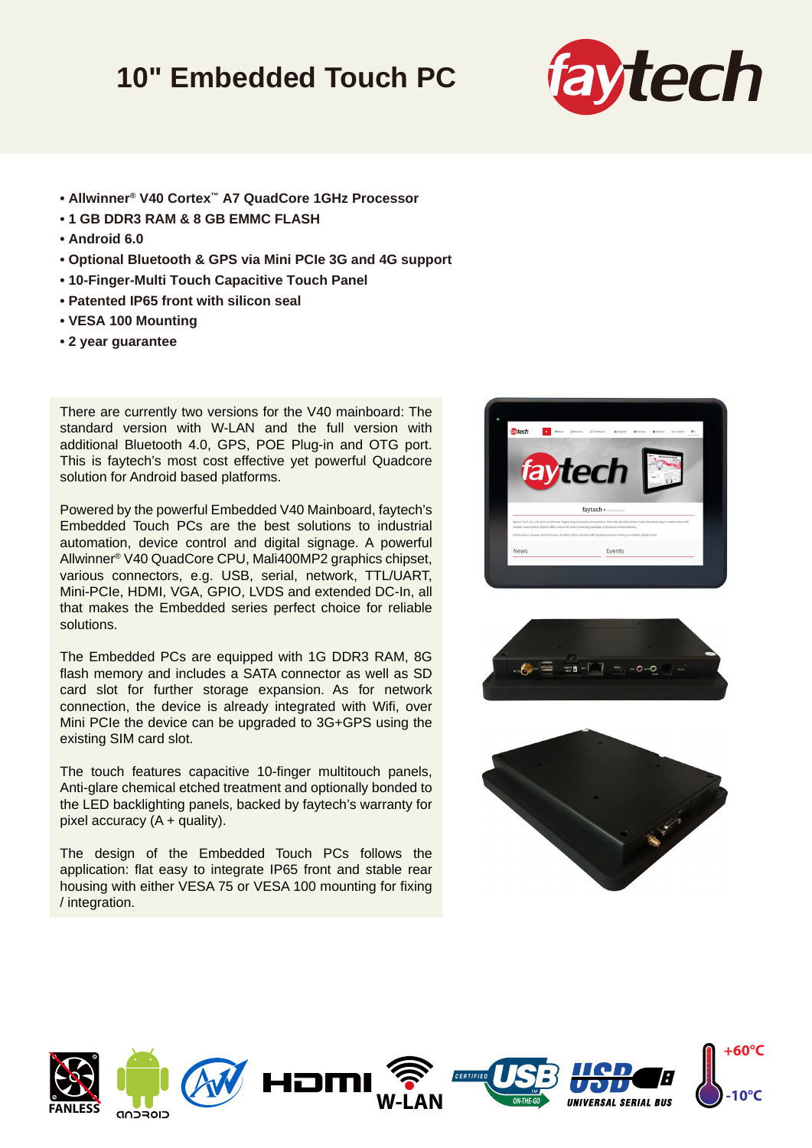## **10" Embedded Touch PC**



- **Allwinner® V40 Cortex™ A7 QuadCore 1GHz Processor**
- **1 GB DDR3 RAM & 8 GB EMMC FLASH**
- **Android 6.0**
- **Optional Bluetooth & GPS via Mini PCIe 3G and 4G support**
- **10-Finger-Multi Touch Capacitive Touch Panel**
- **Patented IP65 front with silicon seal**
- **VESA 100 Mounting**
- **2 year guarantee**

There are currently two versions for the V40 mainboard: The standard version with W-LAN and the full version with additional Bluetooth 4.0, GPS, POE Plug-in and OTG port. This is faytech's most cost effective yet powerful Quadcore solution for Android based platforms.

Powered by the powerful Embedded V40 Mainboard, faytech's Embedded Touch PCs are the best solutions to industrial automation, device control and digital signage. A powerful Allwinner® V40 QuadCore CPU, Mali400MP2 graphics chipset, various connectors, e.g. USB, serial, network, TTL/UART, Mini-PCIe, HDMI, VGA, GPIO, LVDS and extended DC-In, all that makes the Embedded series perfect choice for reliable solutions.

The Embedded PCs are equipped with 1G DDR3 RAM, 8G flash memory and includes a SATA connector as well as SD card slot for further storage expansion. As for network connection, the device is already integrated with Wifi, over Mini PCIe the device can be upgraded to 3G+GPS using the existing SIM card slot.

The touch features capacitive 10-finger multitouch panels, Anti-glare chemical etched treatment and optionally bonded to the LED backlighting panels, backed by faytech's warranty for pixel accuracy  $(A +$  quality).

The design of the Embedded Touch PCs follows the application: flat easy to integrate IP65 front and stable rear housing with either VESA 75 or VESA 100 mounting for fixing / integration.